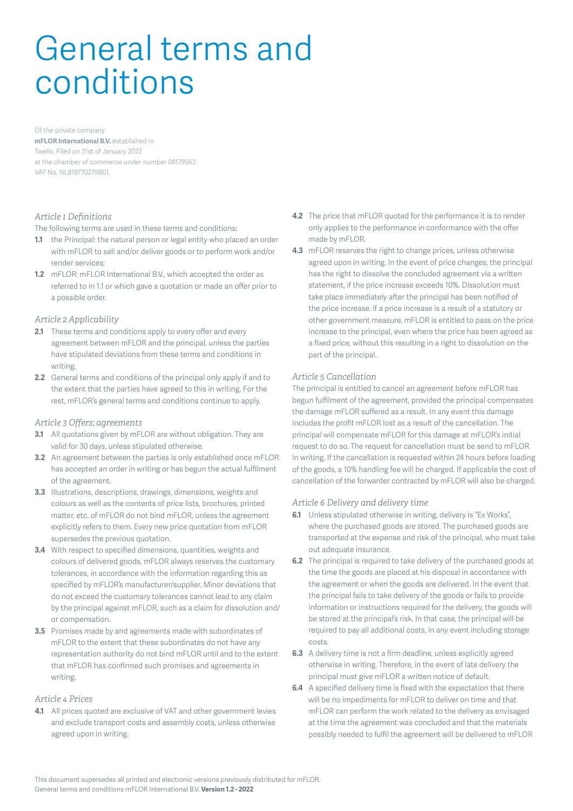# General terms and conditions

Of the private company

**mFLOR International B.V.** established in Twello. Filed on 31st of January 2022 at the chamber of commerce under number 08179562. VAT No. NL819770279B01.

# *Article 1 Definitions*

The following terms are used in these terms and conditions:

- **1.1** the Principal: the natural person or legal entity who placed an order with mFLOR to sell and/or deliver goods or to perform work and/or render services;
- **1.2** mFLOR: mFLOR International B.V., which accepted the order as referred to in 1.1 or which gave a quotation or made an offer prior to a possible order.

#### *Article 2 Applicability*

- **2.1** These terms and conditions apply to every offer and every agreement between mFLOR and the principal, unless the parties have stipulated deviations from these terms and conditions in writing.
- **2.2** General terms and conditions of the principal only apply if and to the extent that the parties have agreed to this in writing. For the rest, mFLOR's general terms and conditions continue to apply.

#### *Article 3 Offers; agreements*

- **3.1** All quotations given by mFLOR are without obligation. They are valid for 30 days, unless stipulated otherwise.
- **3.2** An agreement between the parties is only established once mFLOR has accepted an order in writing or has begun the actual fulfilment of the agreement.
- **3.3** Illustrations, descriptions, drawings, dimensions, weights and colours as well as the contents of price lists, brochures, printed matter, etc. of mFLOR do not bind mFLOR, unless the agreement explicitly refers to them. Every new price quotation from mFLOR supersedes the previous quotation.
- **3.4** With respect to specified dimensions, quantities, weights and colours of delivered goods, mFLOR always reserves the customary tolerances, in accordance with the information regarding this as specified by mFLOR's manufacturer/supplier. Minor deviations that do not exceed the customary tolerances cannot lead to any claim by the principal against mFLOR, such as a claim for dissolution and/ or compensation.
- **3.5** Promises made by and agreements made with subordinates of mFLOR to the extent that these subordinates do not have any representation authority do not bind mFLOR until and to the extent that mFLOR has confirmed such promises and agreements in writing.

# *Article 4 Prices*

**4.1** All prices quoted are exclusive of VAT and other government levies and exclude transport costs and assembly costs, unless otherwise agreed upon in writing.

- **4.2** The price that mFLOR quoted for the performance it is to render only applies to the performance in conformance with the offer made by mFLOR.
- **4.3** mFLOR reserves the right to change prices, unless otherwise agreed upon in writing. In the event of price changes, the principal has the right to dissolve the concluded agreement via a written statement, if the price increase exceeds 10%. Dissolution must take place immediately after the principal has been notified of the price increase. If a price increase is a result of a statutory or other government measure, mFLOR is entitled to pass on the price increase to the principal, even where the price has been agreed as a fixed price, without this resulting in a right to dissolution on the part of the principal.

#### *Article 5 Cancellation*

The principal is entitled to cancel an agreement before mFLOR has begun fulfilment of the agreement, provided the principal compensates the damage mFLOR suffered as a result. In any event this damage includes the profit mFLOR lost as a result of the cancellation. The principal will compensate mFLOR for this damage at mFLOR's initial request to do so. The request for cancellation must be send to mFLOR in writing. If the cancellation is requested within 24 hours before loading of the goods, a 10% handling fee will be charged. If applicable the cost of cancellation of the forwarder contracted by mFLOR will also be charged.

# *Article 6 Delivery and delivery time*

- **6.1** Unless stipulated otherwise in writing, delivery is "Ex Works", where the purchased goods are stored. The purchased goods are transported at the expense and risk of the principal, who must take out adequate insurance.
- **6.2** The principal is required to take delivery of the purchased goods at the time the goods are placed at his disposal in accordance with the agreement or when the goods are delivered. In the event that the principal fails to take delivery of the goods or fails to provide information or instructions required for the delivery, the goods will be stored at the principal's risk. In that case, the principal will be required to pay all additional costs, in any event including storage costs.
- **6.3** A delivery time is not a firm deadline, unless explicitly agreed otherwise in writing. Therefore, in the event of late delivery the principal must give mFLOR a written notice of default.
- **6.4** A specified delivery time is fixed with the expectation that there will be no impediments for mFLOR to deliver on time and that mFLOR can perform the work related to the delivery as envisaged at the time the agreement was concluded and that the materials possibly needed to fulfil the agreement will be delivered to mFLOR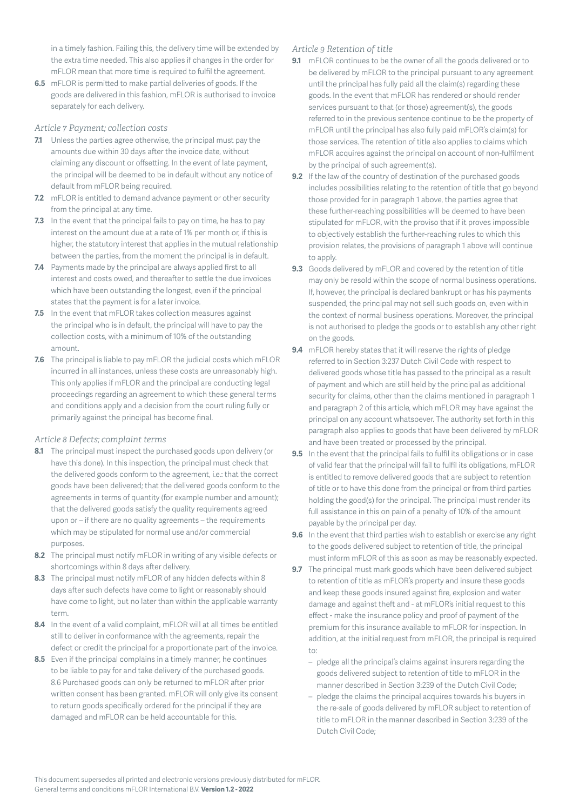in a timely fashion. Failing this, the delivery time will be extended by the extra time needed. This also applies if changes in the order for mFLOR mean that more time is required to fulfil the agreement.

**6.5** mFLOR is permitted to make partial deliveries of goods. If the goods are delivered in this fashion, mFLOR is authorised to invoice separately for each delivery.

# *Article 7 Payment; collection costs*

- **7.1** Unless the parties agree otherwise, the principal must pay the amounts due within 30 days after the invoice date, without claiming any discount or offsetting. In the event of late payment, the principal will be deemed to be in default without any notice of default from mFLOR being required.
- **7.2** mFLOR is entitled to demand advance payment or other security from the principal at any time.
- **7.3** In the event that the principal fails to pay on time, he has to pay interest on the amount due at a rate of 1% per month or, if this is higher, the statutory interest that applies in the mutual relationship between the parties, from the moment the principal is in default.
- **7.4** Payments made by the principal are always applied first to all interest and costs owed, and thereafter to settle the due invoices which have been outstanding the longest, even if the principal states that the payment is for a later invoice.
- **7.5** In the event that mFLOR takes collection measures against the principal who is in default, the principal will have to pay the collection costs, with a minimum of 10% of the outstanding amount.
- **7.6** The principal is liable to pay mFLOR the judicial costs which mFLOR incurred in all instances, unless these costs are unreasonably high. This only applies if mFLOR and the principal are conducting legal proceedings regarding an agreement to which these general terms and conditions apply and a decision from the court ruling fully or primarily against the principal has become final.

#### *Article 8 Defects; complaint terms*

- **8.1** The principal must inspect the purchased goods upon delivery (or have this done). In this inspection, the principal must check that the delivered goods conform to the agreement, i.e.: that the correct goods have been delivered; that the delivered goods conform to the agreements in terms of quantity (for example number and amount); that the delivered goods satisfy the quality requirements agreed upon or – if there are no quality agreements – the requirements which may be stipulated for normal use and/or commercial purposes.
- **8.2** The principal must notify mFLOR in writing of any visible defects or shortcomings within 8 days after delivery.
- **8.3** The principal must notify mFLOR of any hidden defects within 8 days after such defects have come to light or reasonably should have come to light, but no later than within the applicable warranty term.
- **8.4** In the event of a valid complaint, mFLOR will at all times be entitled still to deliver in conformance with the agreements, repair the defect or credit the principal for a proportionate part of the invoice.
- **8.5** Even if the principal complains in a timely manner, he continues to be liable to pay for and take delivery of the purchased goods. 8.6 Purchased goods can only be returned to mFLOR after prior written consent has been granted. mFLOR will only give its consent to return goods specifically ordered for the principal if they are damaged and mFLOR can be held accountable for this.

# *Article 9 Retention of title*

- **9.1** mFLOR continues to be the owner of all the goods delivered or to be delivered by mFLOR to the principal pursuant to any agreement until the principal has fully paid all the claim(s) regarding these goods. In the event that mFLOR has rendered or should render services pursuant to that (or those) agreement(s), the goods referred to in the previous sentence continue to be the property of mFLOR until the principal has also fully paid mFLOR's claim(s) for those services. The retention of title also applies to claims which mFLOR acquires against the principal on account of non-fulfilment by the principal of such agreement(s).
- **9.2** If the law of the country of destination of the purchased goods includes possibilities relating to the retention of title that go beyond those provided for in paragraph 1 above, the parties agree that these further-reaching possibilities will be deemed to have been stipulated for mFLOR, with the proviso that if it proves impossible to objectively establish the further-reaching rules to which this provision relates, the provisions of paragraph 1 above will continue to apply.
- **9.3** Goods delivered by mFLOR and covered by the retention of title may only be resold within the scope of normal business operations. If, however, the principal is declared bankrupt or has his payments suspended, the principal may not sell such goods on, even within the context of normal business operations. Moreover, the principal is not authorised to pledge the goods or to establish any other right on the goods.
- **9.4** mFLOR hereby states that it will reserve the rights of pledge referred to in Section 3:237 Dutch Civil Code with respect to delivered goods whose title has passed to the principal as a result of payment and which are still held by the principal as additional security for claims, other than the claims mentioned in paragraph 1 and paragraph 2 of this article, which mFLOR may have against the principal on any account whatsoever. The authority set forth in this paragraph also applies to goods that have been delivered by mFLOR and have been treated or processed by the principal.
- **9.5** In the event that the principal fails to fulfil its obligations or in case of valid fear that the principal will fail to fulfil its obligations, mFLOR is entitled to remove delivered goods that are subject to retention of title or to have this done from the principal or from third parties holding the good(s) for the principal. The principal must render its full assistance in this on pain of a penalty of 10% of the amount payable by the principal per day.
- **9.6** In the event that third parties wish to establish or exercise any right to the goods delivered subject to retention of title, the principal must inform mFLOR of this as soon as may be reasonably expected.
- **9.7** The principal must mark goods which have been delivered subject to retention of title as mFLOR's property and insure these goods and keep these goods insured against fire, explosion and water damage and against theft and - at mFLOR's initial request to this effect - make the insurance policy and proof of payment of the premium for this insurance available to mFLOR for inspection. In addition, at the initial request from mFLOR, the principal is required to:
	- pledge all the principal's claims against insurers regarding the goods delivered subject to retention of title to mFLOR in the manner described in Section 3:239 of the Dutch Civil Code;
	- pledge the claims the principal acquires towards his buyers in the re-sale of goods delivered by mFLOR subject to retention of title to mFLOR in the manner described in Section 3:239 of the Dutch Civil Code;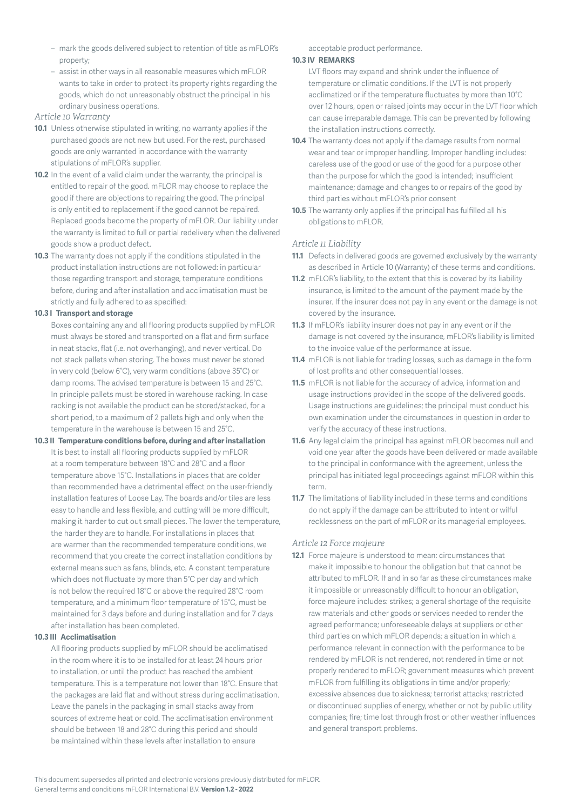- mark the goods delivered subject to retention of title as mFLOR's property;
- assist in other ways in all reasonable measures which mFLOR wants to take in order to protect its property rights regarding the goods, which do not unreasonably obstruct the principal in his ordinary business operations.

#### *Article 10 Warranty*

- **10.1** Unless otherwise stipulated in writing, no warranty applies if the purchased goods are not new but used. For the rest, purchased goods are only warranted in accordance with the warranty stipulations of mFLOR's supplier.
- **10.2** In the event of a valid claim under the warranty, the principal is entitled to repair of the good. mFLOR may choose to replace the good if there are objections to repairing the good. The principal is only entitled to replacement if the good cannot be repaired. Replaced goods become the property of mFLOR. Our liability under the warranty is limited to full or partial redelivery when the delivered goods show a product defect.
- **10.3** The warranty does not apply if the conditions stipulated in the product installation instructions are not followed: in particular those regarding transport and storage, temperature conditions before, during and after installation and acclimatisation must be strictly and fully adhered to as specified:

#### **10.3 I Transport and storage**

Boxes containing any and all flooring products supplied by mFLOR must always be stored and transported on a flat and firm surface in neat stacks, flat (i.e. not overhanging), and never vertical. Do not stack pallets when storing. The boxes must never be stored in very cold (below 6°C), very warm conditions (above 35°C) or damp rooms. The advised temperature is between 15 and 25°C. In principle pallets must be stored in warehouse racking. In case racking is not available the product can be stored/stacked, for a short period, to a maximum of 2 pallets high and only when the temperature in the warehouse is between 15 and 25°C.

**10.3 II Temperature conditions before, during and after installation** It is best to install all flooring products supplied by mFLOR at a room temperature between 18°C and 28°C and a floor temperature above 15°C. Installations in places that are colder than recommended have a detrimental effect on the user-friendly installation features of Loose Lay. The boards and/or tiles are less easy to handle and less flexible, and cutting will be more difficult, making it harder to cut out small pieces. The lower the temperature, the harder they are to handle. For installations in places that are warmer than the recommended temperature conditions, we recommend that you create the correct installation conditions by external means such as fans, blinds, etc. A constant temperature which does not fluctuate by more than 5°C per day and which is not below the required 18°C or above the required 28°C room temperature, and a minimum floor temperature of 15°C, must be maintained for 3 days before and during installation and for 7 days after installation has been completed.

#### **10.3 III Acclimatisation**

All flooring products supplied by mFLOR should be acclimatised in the room where it is to be installed for at least 24 hours prior to installation, or until the product has reached the ambient temperature. This is a temperature not lower than 18°C. Ensure that the packages are laid flat and without stress during acclimatisation. Leave the panels in the packaging in small stacks away from sources of extreme heat or cold. The acclimatisation environment should be between 18 and 28°C during this period and should be maintained within these levels after installation to ensure

acceptable product performance.

#### **10.3 IV REMARKS**

- LVT floors may expand and shrink under the influence of temperature or climatic conditions. If the LVT is not properly acclimatized or if the temperature fluctuates by more than 10°C over 12 hours, open or raised joints may occur in the LVT floor which can cause irreparable damage. This can be prevented by following the installation instructions correctly.
- **10.4** The warranty does not apply if the damage results from normal wear and tear or improper handling. Improper handling includes: careless use of the good or use of the good for a purpose other than the purpose for which the good is intended; insufficient maintenance; damage and changes to or repairs of the good by third parties without mFLOR's prior consent
- **10.5** The warranty only applies if the principal has fulfilled all his obligations to mFLOR.

# *Article 11 Liability*

- **11.1** Defects in delivered goods are governed exclusively by the warranty as described in Article 10 (Warranty) of these terms and conditions.
- **11.2** mFLOR's liability, to the extent that this is covered by its liability insurance, is limited to the amount of the payment made by the insurer. If the insurer does not pay in any event or the damage is not covered by the insurance.
- **11.3** If mFLOR's liability insurer does not pay in any event or if the damage is not covered by the insurance, mFLOR's liability is limited to the invoice value of the performance at issue.
- **11.4** mFLOR is not liable for trading losses, such as damage in the form of lost profits and other consequential losses.
- **11.5** mFLOR is not liable for the accuracy of advice, information and usage instructions provided in the scope of the delivered goods. Usage instructions are guidelines; the principal must conduct his own examination under the circumstances in question in order to verify the accuracy of these instructions.
- **11.6** Any legal claim the principal has against mFLOR becomes null and void one year after the goods have been delivered or made available to the principal in conformance with the agreement, unless the principal has initiated legal proceedings against mFLOR within this term.
- **11.7** The limitations of liability included in these terms and conditions do not apply if the damage can be attributed to intent or wilful recklessness on the part of mFLOR or its managerial employees.

# *Article 12 Force majeure*

**12.1** Force majeure is understood to mean: circumstances that make it impossible to honour the obligation but that cannot be attributed to mFLOR. If and in so far as these circumstances make it impossible or unreasonably difficult to honour an obligation, force majeure includes: strikes; a general shortage of the requisite raw materials and other goods or services needed to render the agreed performance; unforeseeable delays at suppliers or other third parties on which mFLOR depends; a situation in which a performance relevant in connection with the performance to be rendered by mFLOR is not rendered, not rendered in time or not properly rendered to mFLOR; government measures which prevent mFLOR from fulfilling its obligations in time and/or properly; excessive absences due to sickness; terrorist attacks; restricted or discontinued supplies of energy, whether or not by public utility companies; fire; time lost through frost or other weather influences and general transport problems.